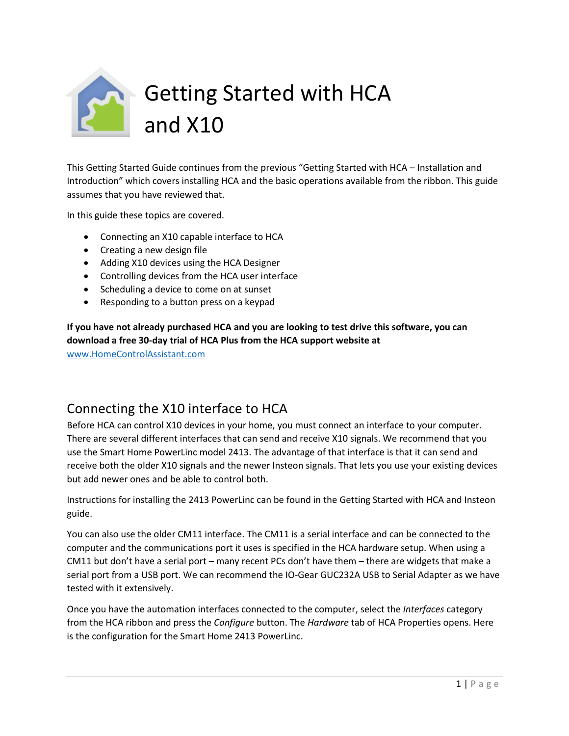

This Getting Started Guide continues from the previous "Getting Started with HCA – Installation and Introduction" which covers installing HCA and the basic operations available from the ribbon. This guide assumes that you have reviewed that.

In this guide these topics are covered.

- Connecting an X10 capable interface to HCA
- Creating a new design file
- Adding X10 devices using the HCA Designer
- Controlling devices from the HCA user interface
- Scheduling a device to come on at sunset
- Responding to a button press on a keypad

**If you have not already purchased HCA and you are looking to test drive this software, you can download a free 30-day trial of HCA Plus from the HCA support website at** 

[www.HomeControlAssistant.com](http://www.homecontrolassistant.com/)

### Connecting the X10 interface to HCA

Before HCA can control X10 devices in your home, you must connect an interface to your computer. There are several different interfaces that can send and receive X10 signals. We recommend that you use the Smart Home PowerLinc model 2413. The advantage of that interface is that it can send and receive both the older X10 signals and the newer Insteon signals. That lets you use your existing devices but add newer ones and be able to control both.

Instructions for installing the 2413 PowerLinc can be found in the Getting Started with HCA and Insteon guide.

You can also use the older CM11 interface. The CM11 is a serial interface and can be connected to the computer and the communications port it uses is specified in the HCA hardware setup. When using a CM11 but don't have a serial port – many recent PCs don't have them – there are widgets that make a serial port from a USB port. We can recommend the IO-Gear GUC232A USB to Serial Adapter as we have tested with it extensively.

Once you have the automation interfaces connected to the computer, select the *Interfaces* category from the HCA ribbon and press the *Configure* button. The *Hardware* tab of HCA Properties opens. Here is the configuration for the Smart Home 2413 PowerLinc.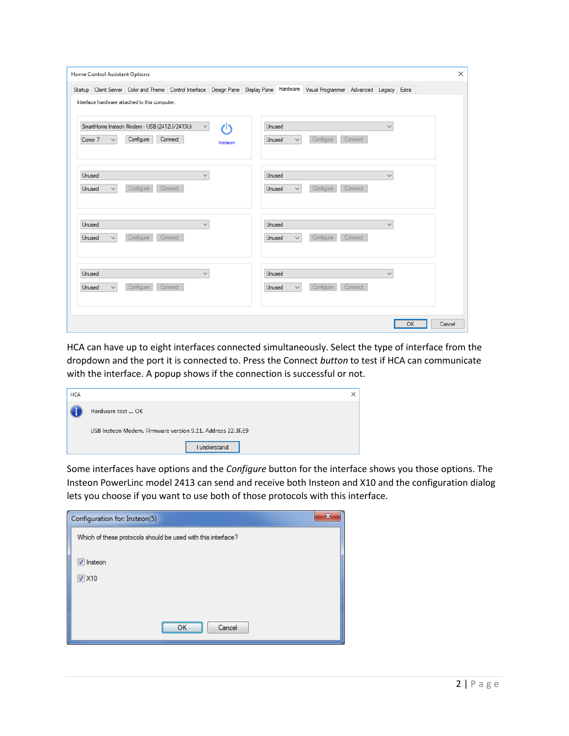|        |              | Startup Client Server Color and Theme Control Interface Design Pane Display Pane Hardware Visual Programmer Advanced Legacy Extra |              |         |               |              |           |         |              |  |
|--------|--------------|-----------------------------------------------------------------------------------------------------------------------------------|--------------|---------|---------------|--------------|-----------|---------|--------------|--|
|        |              | Interface hardware attached to this computer:                                                                                     |              |         |               |              |           |         |              |  |
|        |              | SmartHome Insteon Modem - USB (2412U/2413U)                                                                                       | $\checkmark$ | ረካ      | Unused        |              |           |         | $\checkmark$ |  |
| Comm 7 | $\checkmark$ | Configure                                                                                                                         | Connect      | Insteon | Unused        | $\checkmark$ | Configure | Connect |              |  |
|        |              |                                                                                                                                   |              |         |               |              |           |         |              |  |
| Unused |              |                                                                                                                                   | $\checkmark$ |         | <b>Unused</b> |              |           |         | $\checkmark$ |  |
| Unused | $\checkmark$ | Configure                                                                                                                         | Connect      |         | Unused        | $\checkmark$ | Configure | Connect |              |  |
| Unused |              |                                                                                                                                   | $\checkmark$ |         | Unused        |              |           |         | $\checkmark$ |  |
| Unused | $\checkmark$ | Configure                                                                                                                         | Connect      |         | Unused        | $\checkmark$ | Configure | Connect |              |  |
|        |              |                                                                                                                                   |              |         |               |              |           |         |              |  |
| Unused |              |                                                                                                                                   | $\checkmark$ |         | Unused        |              |           |         | $\checkmark$ |  |
| Unused | $\checkmark$ | Configure                                                                                                                         | Connect      |         | Unused        | $\checkmark$ | Configure | Connect |              |  |
|        |              |                                                                                                                                   |              |         |               |              |           |         |              |  |

HCA can have up to eight interfaces connected simultaneously. Select the type of interface from the dropdown and the port it is connected to. Press the Connect *button* to test if HCA can communicate with the interface. A popup shows if the connection is successful or not.

| <b>HCA</b> |                                                            |  |
|------------|------------------------------------------------------------|--|
|            | Hardware test  OK                                          |  |
|            | USB Insteon Modem. Firmware version 9.11. Address 22.3F.E9 |  |
|            | understand                                                 |  |

Some interfaces have options and the *Configure* button for the interface shows you those options. The Insteon PowerLinc model 2413 can send and receive both Insteon and X10 and the configuration dialog lets you choose if you want to use both of those protocols with this interface.

| Configuration for: Insteon(5)                                |  |
|--------------------------------------------------------------|--|
| Which of these protocols should be used with this interface? |  |
| V Insteon                                                    |  |
| $\nabla$ X10                                                 |  |
|                                                              |  |
|                                                              |  |
| <br>Cancel                                                   |  |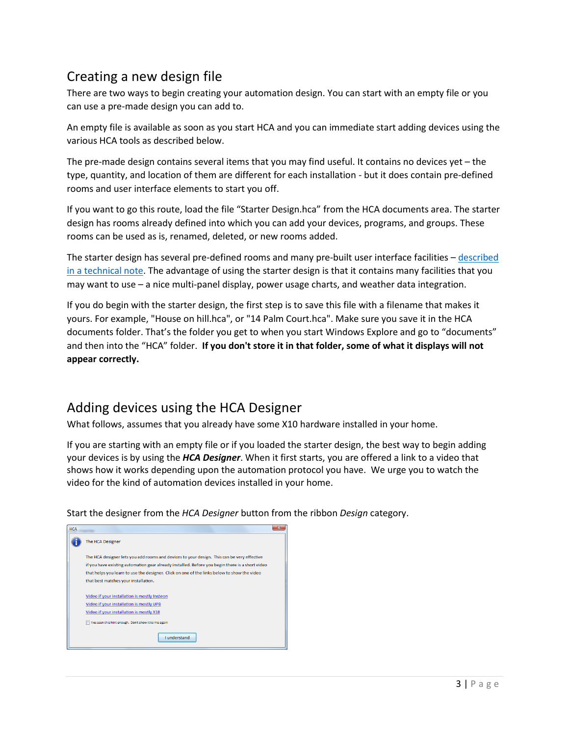## Creating a new design file

There are two ways to begin creating your automation design. You can start with an empty file or you can use a pre-made design you can add to.

An empty file is available as soon as you start HCA and you can immediate start adding devices using the various HCA tools as described below.

The pre-made design contains several items that you may find useful. It contains no devices yet – the type, quantity, and location of them are different for each installation - but it does contain pre-defined rooms and user interface elements to start you off.

If you want to go this route, load the file "Starter Design.hca" from the HCA documents area. The starter design has rooms already defined into which you can add your devices, programs, and groups. These rooms can be used as is, renamed, deleted, or new rooms added.

The starter design has several pre-defined rooms and many pre-built user interface facilities – [described](https://www.homecontrolassistant.com/download/V15/Doc/TechNotes/TechNote_122_StarterDesign.pdf)  [in a technical note.](https://www.homecontrolassistant.com/download/V15/Doc/TechNotes/TechNote_122_StarterDesign.pdf) The advantage of using the starter design is that it contains many facilities that you may want to use – a nice multi-panel display, power usage charts, and weather data integration.

If you do begin with the starter design, the first step is to save this file with a filename that makes it yours. For example, "House on hill.hca", or "14 Palm Court.hca". Make sure you save it in the HCA documents folder. That's the folder you get to when you start Windows Explore and go to "documents" and then into the "HCA" folder. **If you don't store it in that folder, some of what it displays will not appear correctly.**

## Adding devices using the HCA Designer

What follows, assumes that you already have some X10 hardware installed in your home.

If you are starting with an empty file or if you loaded the starter design, the best way to begin adding your devices is by using the *HCA Designer*. When it first starts, you are offered a link to a video that shows how it works depending upon the automation protocol you have. We urge you to watch the video for the kind of automation devices installed in your home.

Start the designer from the *HCA Designer* button from the ribbon *Design* category.

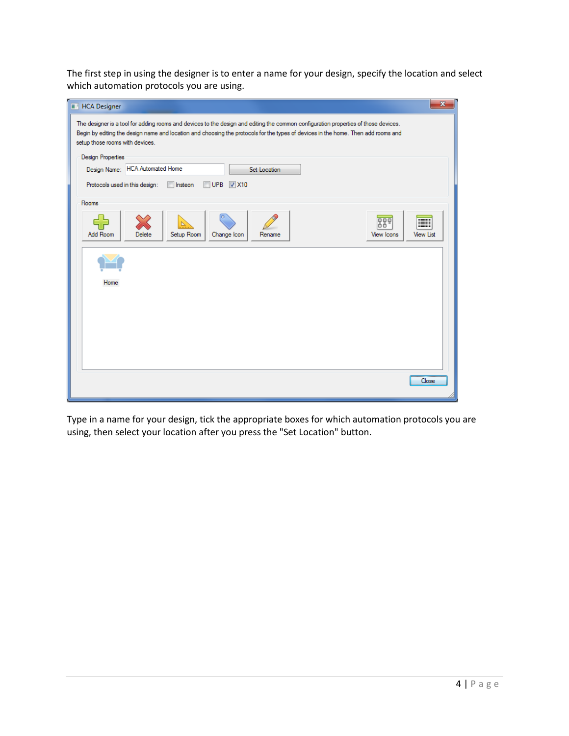The first step in using the designer is to enter a name for your design, specify the location and select which automation protocols you are using.



Type in a name for your design, tick the appropriate boxes for which automation protocols you are using, then select your location after you press the "Set Location" button.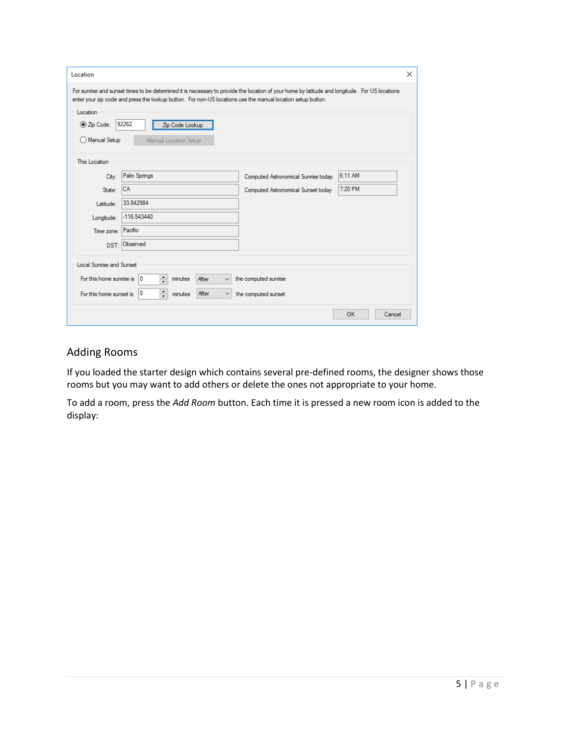| Location                        |                                                                                                                                                                                                                                                               |                                     |              | $\times$ |
|---------------------------------|---------------------------------------------------------------------------------------------------------------------------------------------------------------------------------------------------------------------------------------------------------------|-------------------------------------|--------------|----------|
|                                 | For sunrise and sunset times to be determined it is necessary to provide the location of your home by latitude and longitude. For US locations<br>enter your zip code and press the lookup button. For non-US locations use the manual location setup button. |                                     |              |          |
| Location                        |                                                                                                                                                                                                                                                               |                                     |              |          |
| ◉ Zip Code:                     | 92262<br>Zip Code Lookup                                                                                                                                                                                                                                      |                                     |              |          |
| Manual Setup                    | Manual Location Setup                                                                                                                                                                                                                                         |                                     |              |          |
|                                 |                                                                                                                                                                                                                                                               |                                     |              |          |
| This Location                   |                                                                                                                                                                                                                                                               |                                     |              |          |
| City:                           | Palm Springs                                                                                                                                                                                                                                                  | Computed Astronomical Sunrise today | 6:11 AM      |          |
| State:                          | <b>ICA</b>                                                                                                                                                                                                                                                    | Computed Astronomical Sunset today  | 7:20 PM      |          |
| Latitude:                       | 33.842984                                                                                                                                                                                                                                                     |                                     |              |          |
| Longitude:                      | $-116.543440$                                                                                                                                                                                                                                                 |                                     |              |          |
| Time zone:                      | Pacific                                                                                                                                                                                                                                                       |                                     |              |          |
| DST:                            | Observed                                                                                                                                                                                                                                                      |                                     |              |          |
| <b>Local Sunrise and Sunset</b> |                                                                                                                                                                                                                                                               |                                     |              |          |
| For this home sunrise is        | 칅<br>10<br>After<br>minutes                                                                                                                                                                                                                                   | the computed sunrise                |              |          |
| For this home sunset is         | $\div$<br>0<br>After<br>$\checkmark$<br>minutes                                                                                                                                                                                                               | the computed sunset                 |              |          |
|                                 |                                                                                                                                                                                                                                                               |                                     | OK<br>Cancel |          |

### Adding Rooms

If you loaded the starter design which contains several pre-defined rooms, the designer shows those rooms but you may want to add others or delete the ones not appropriate to your home.

To add a room, press the *Add Room* button. Each time it is pressed a new room icon is added to the display: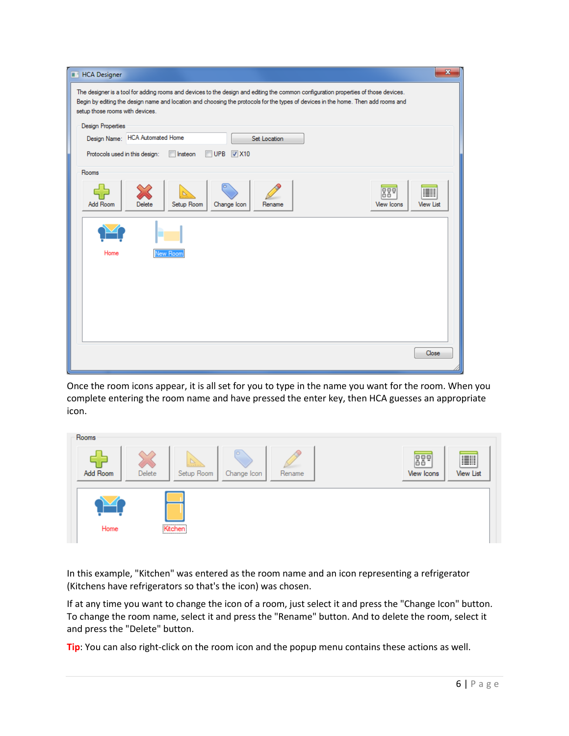| <b>HCA Designer</b>                                                                                                                                                                                                                                                                                         | $\mathbf{x}$          |
|-------------------------------------------------------------------------------------------------------------------------------------------------------------------------------------------------------------------------------------------------------------------------------------------------------------|-----------------------|
| The designer is a tool for adding rooms and devices to the design and editing the common configuration properties of those devices.<br>Begin by editing the design name and location and choosing the protocols for the types of devices in the home. Then add rooms and<br>setup those rooms with devices. |                       |
| <b>Design Properties</b>                                                                                                                                                                                                                                                                                    |                       |
| Design Name: HCA Automated Home<br>Set Location                                                                                                                                                                                                                                                             |                       |
| $\nabla$ X10<br>Protocols used in this design:<br>$\Box$ UPB<br>Insteon<br>г                                                                                                                                                                                                                                |                       |
| Rooms                                                                                                                                                                                                                                                                                                       |                       |
| 889<br>Add Room<br>Setup Room<br>View Icons<br>Delete<br>Change Icon<br>Rename                                                                                                                                                                                                                              | E<br><b>View List</b> |
|                                                                                                                                                                                                                                                                                                             |                       |
| Home<br>New Room                                                                                                                                                                                                                                                                                            |                       |
|                                                                                                                                                                                                                                                                                                             |                       |
|                                                                                                                                                                                                                                                                                                             |                       |
|                                                                                                                                                                                                                                                                                                             |                       |
|                                                                                                                                                                                                                                                                                                             |                       |
|                                                                                                                                                                                                                                                                                                             |                       |
|                                                                                                                                                                                                                                                                                                             | Close                 |
|                                                                                                                                                                                                                                                                                                             |                       |

Once the room icons appear, it is all set for you to type in the name you want for the room. When you complete entering the room name and have pressed the enter key, then HCA guesses an appropriate icon.



In this example, "Kitchen" was entered as the room name and an icon representing a refrigerator (Kitchens have refrigerators so that's the icon) was chosen.

If at any time you want to change the icon of a room, just select it and press the "Change Icon" button. To change the room name, select it and press the "Rename" button. And to delete the room, select it and press the "Delete" button.

**Tip**: You can also right-click on the room icon and the popup menu contains these actions as well.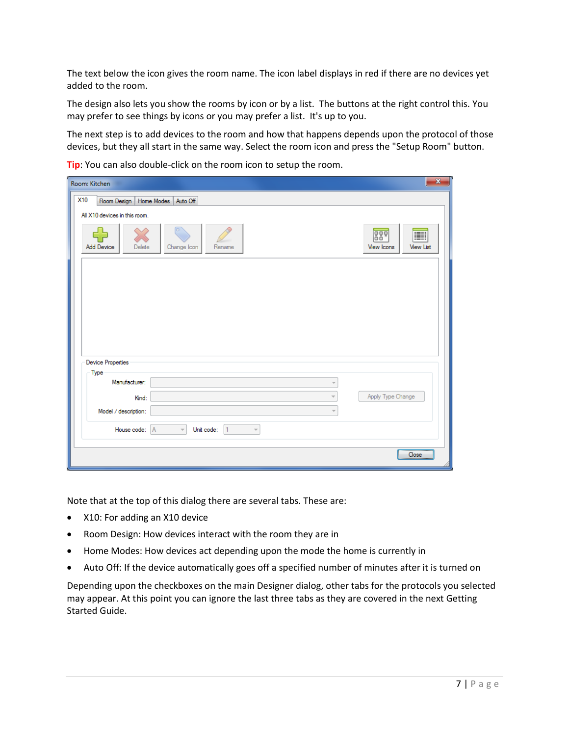The text below the icon gives the room name. The icon label displays in red if there are no devices yet added to the room.

The design also lets you show the rooms by icon or by a list. The buttons at the right control this. You may prefer to see things by icons or you may prefer a list. It's up to you.

The next step is to add devices to the room and how that happens depends upon the protocol of those devices, but they all start in the same way. Select the room icon and press the "Setup Room" button.

**Tip**: You can also double-click on the room icon to setup the room.

| Room: Kitchen                                                                      | $\mathbf{x}$                               |
|------------------------------------------------------------------------------------|--------------------------------------------|
| X10<br>Room Design   Home Modes   Auto Off                                         |                                            |
| All X10 devices in this room.                                                      |                                            |
| Add Device<br>Delete<br>Change Icon<br>Rename                                      | 889<br>I<br>View Icons<br><b>View List</b> |
|                                                                                    |                                            |
|                                                                                    |                                            |
|                                                                                    |                                            |
|                                                                                    |                                            |
|                                                                                    |                                            |
| Device Properties                                                                  |                                            |
| Type<br>Manufacturer:<br>$\overline{\phantom{a}}$                                  |                                            |
| Kind:                                                                              | Apply Type Change                          |
| Model / description:                                                               |                                            |
| House code: A<br>$\vert$ 1<br>$\overline{\psi}$<br>Unit code:<br>$\overline{\psi}$ |                                            |
|                                                                                    | <br>Close                                  |
|                                                                                    |                                            |

Note that at the top of this dialog there are several tabs. These are:

- X10: For adding an X10 device
- Room Design: How devices interact with the room they are in
- Home Modes: How devices act depending upon the mode the home is currently in
- Auto Off: If the device automatically goes off a specified number of minutes after it is turned on

Depending upon the checkboxes on the main Designer dialog, other tabs for the protocols you selected may appear. At this point you can ignore the last three tabs as they are covered in the next Getting Started Guide.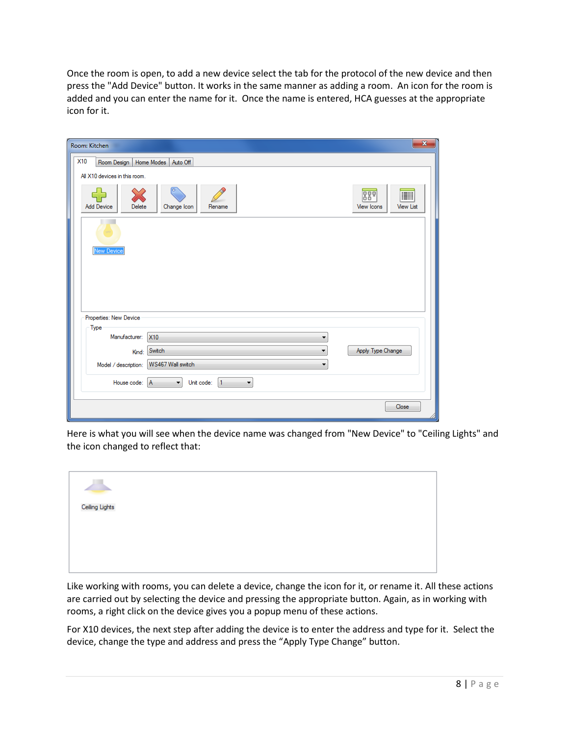Once the room is open, to add a new device select the tab for the protocol of the new device and then press the "Add Device" button. It works in the same manner as adding a room. An icon for the room is added and you can enter the name for it. Once the name is entered, HCA guesses at the appropriate icon for it.

| Room: Kitchen                                                                      | $\mathbf{x}$                                       |
|------------------------------------------------------------------------------------|----------------------------------------------------|
| <b>X10</b><br>Room Design   Home Modes   Auto Off<br>All X10 devices in this room. |                                                    |
| Add Device<br>Change Icon<br>Rename<br>Delete                                      | 880<br><b>IE</b><br><b>View List</b><br>View Icons |
|                                                                                    |                                                    |
| <b>New Device</b>                                                                  |                                                    |
|                                                                                    |                                                    |
| Properties: New Device                                                             |                                                    |
| Type<br>Manufacturer:<br><b>X10</b><br>▼                                           |                                                    |
| Switch<br>Kind:<br>▼                                                               | Apply Type Change                                  |
| WS467 Wall switch<br>Model / description:<br>▼                                     |                                                    |
| House code: A<br>Unit code:<br>$\blacktriangledown$<br>$\vert$ 1<br>۰.             |                                                    |
|                                                                                    | Close                                              |

Here is what you will see when the device name was changed from "New Device" to "Ceiling Lights" and the icon changed to reflect that:

| Ceiling Lights |  |  |
|----------------|--|--|
|                |  |  |
|                |  |  |
|                |  |  |
|                |  |  |
|                |  |  |
|                |  |  |

Like working with rooms, you can delete a device, change the icon for it, or rename it. All these actions are carried out by selecting the device and pressing the appropriate button. Again, as in working with rooms, a right click on the device gives you a popup menu of these actions.

For X10 devices, the next step after adding the device is to enter the address and type for it. Select the device, change the type and address and press the "Apply Type Change" button.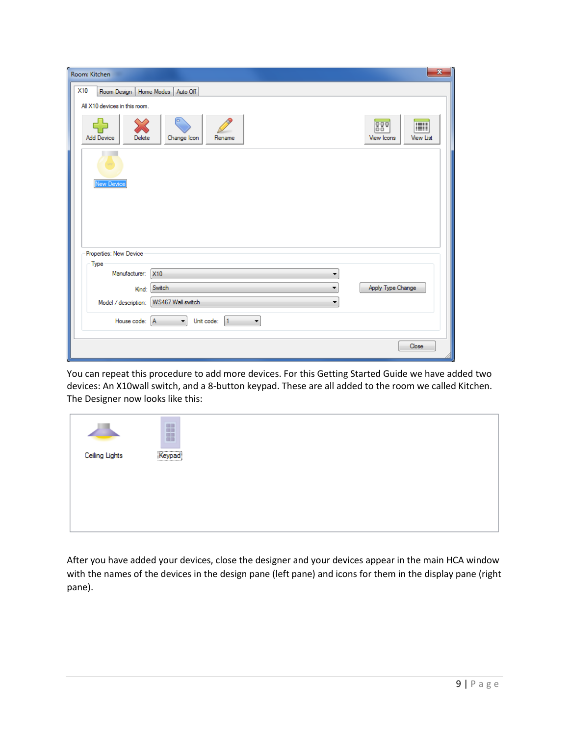| Room: Kitchen                                                                       | $\mathbf{x}$                               |
|-------------------------------------------------------------------------------------|--------------------------------------------|
| X10<br>Room Design   Home Modes   Auto Off                                          |                                            |
| All X10 devices in this room.                                                       |                                            |
| o<br>Add Device<br>Delete<br>Change Icon<br>Rename                                  | 889<br>Ħ<br><b>View List</b><br>View Icons |
|                                                                                     |                                            |
| <b>New Device</b>                                                                   |                                            |
|                                                                                     |                                            |
| Properties: New Device                                                              |                                            |
| - Type                                                                              |                                            |
| Manufacturer:<br><b>X10</b><br>▼                                                    |                                            |
| Switch<br>Kind:<br>▼                                                                | Apply Type Change                          |
| WS467 Wall switch<br>Model / description:<br>▼                                      |                                            |
| $\left  \cdot \right $<br>House code: A<br>Unit code: 1<br>$\overline{\phantom{a}}$ |                                            |
|                                                                                     | Close                                      |

You can repeat this procedure to add more devices. For this Getting Started Guide we have added two devices: An X10wall switch, and a 8-button keypad. These are all added to the room we called Kitchen. The Designer now looks like this:

|                | B      |  |  |
|----------------|--------|--|--|
| Ceiling Lights | Keypad |  |  |
|                |        |  |  |
|                |        |  |  |

After you have added your devices, close the designer and your devices appear in the main HCA window with the names of the devices in the design pane (left pane) and icons for them in the display pane (right pane).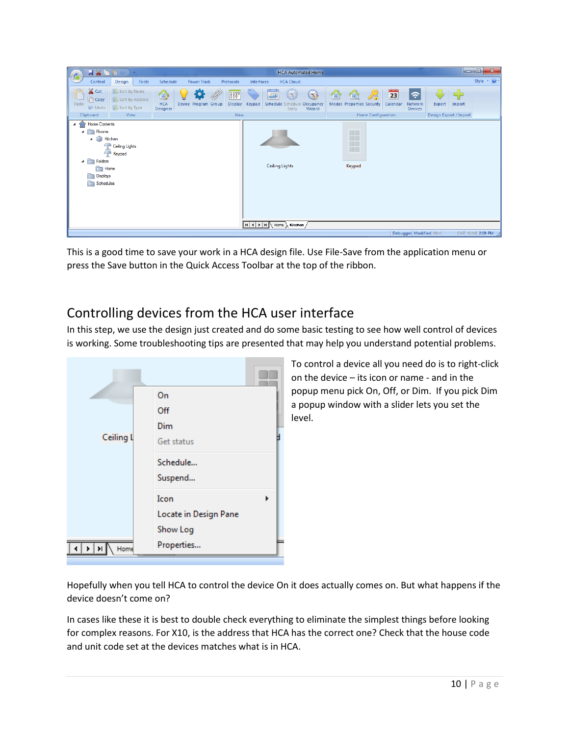| Style $\rightarrow$ $\odot$ $\rightarrow$<br><b>Power Track</b><br><b>HCA Cloud</b><br>Control<br>Design<br>Schedule<br>Tools<br>Protocols<br>Interfaces<br>& Cut<br>$\frac{1}{\sqrt{2}}$<br><b>AU Sort by Name</b><br>23<br>8886<br>$\bigcirc$<br>$\hat{\bm{z}}$<br>Q<br>E<br>$\mathbb{C}$<br>仙<br>$\textcircled{\tiny{H}}$<br><b>TE</b><br>Ø<br>炋<br>ue<br><b>Copy</b><br>Sort by Address<br><b>HCA</b><br>Device Program Group<br>Paste<br><b>Display</b><br>Modes Properties Security<br>Calendar<br>Network<br>Keypad<br>Schedule Schedule Occupancy<br>Export<br>Import<br>Sort by Type<br>$\blacksquare$ Undo<br>Designer<br>Wizard<br><b>Devices</b><br>Entry<br>Home Configuration<br>Clipboard<br>New<br>Design Export / Import<br>View<br><b>Home Contents</b><br>$\pmb{\mathcal{A}}$<br>不<br>$\Box$<br>Rooms<br>$\Box$<br>4<br>H<br>Kitchen<br>⊿<br>Ceiling Lights<br>$\Box$<br>Keypad<br>$\overline{\phantom{a}}$<br>Folders<br><b>Ceiling Lights</b><br>Keypad<br>Home<br>n<br>Displays<br>È<br>Schedules<br>$R$ $\leftarrow$ $\leftarrow$ $H$ $\leftarrow$ Home $\leftarrow$ Kitchen / | $\blacksquare \textcolor{red}{\times} \textcolor{red}{\bullet} \textcolor{red}{\bullet} \textcolor{red}{\triangleright} \cdot$ | <b>HCA Automated Home</b> | la O<br>$\mathbf{x}$ |
|-------------------------------------------------------------------------------------------------------------------------------------------------------------------------------------------------------------------------------------------------------------------------------------------------------------------------------------------------------------------------------------------------------------------------------------------------------------------------------------------------------------------------------------------------------------------------------------------------------------------------------------------------------------------------------------------------------------------------------------------------------------------------------------------------------------------------------------------------------------------------------------------------------------------------------------------------------------------------------------------------------------------------------------------------------------------------------------------------------|--------------------------------------------------------------------------------------------------------------------------------|---------------------------|----------------------|
|                                                                                                                                                                                                                                                                                                                                                                                                                                                                                                                                                                                                                                                                                                                                                                                                                                                                                                                                                                                                                                                                                                       |                                                                                                                                |                           |                      |
|                                                                                                                                                                                                                                                                                                                                                                                                                                                                                                                                                                                                                                                                                                                                                                                                                                                                                                                                                                                                                                                                                                       |                                                                                                                                |                           |                      |
|                                                                                                                                                                                                                                                                                                                                                                                                                                                                                                                                                                                                                                                                                                                                                                                                                                                                                                                                                                                                                                                                                                       |                                                                                                                                |                           |                      |

This is a good time to save your work in a HCA design file. Use File-Save from the application menu or press the Save button in the Quick Access Toolbar at the top of the ribbon.

# Controlling devices from the HCA user interface

In this step, we use the design just created and do some basic testing to see how well control of devices is working. Some troubleshooting tips are presented that may help you understand potential problems.



To control a device all you need do is to right-click on the device – its icon or name - and in the popup menu pick On, Off, or Dim. If you pick Dim a popup window with a slider lets you set the level.

Hopefully when you tell HCA to control the device On it does actually comes on. But what happens if the device doesn't come on?

In cases like these it is best to double check everything to eliminate the simplest things before looking for complex reasons. For X10, is the address that HCA has the correct one? Check that the house code and unit code set at the devices matches what is in HCA.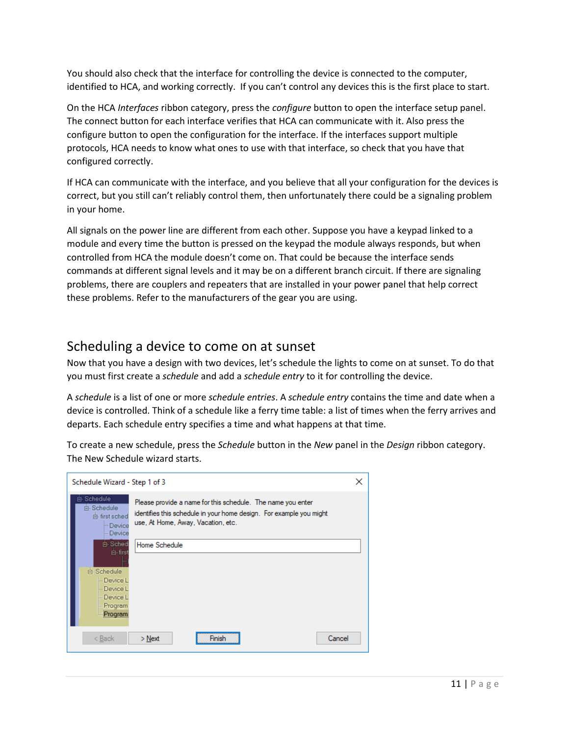You should also check that the interface for controlling the device is connected to the computer, identified to HCA, and working correctly. If you can't control any devices this is the first place to start.

On the HCA *Interfaces* ribbon category, press the *configure* button to open the interface setup panel. The connect button for each interface verifies that HCA can communicate with it. Also press the configure button to open the configuration for the interface. If the interfaces support multiple protocols, HCA needs to know what ones to use with that interface, so check that you have that configured correctly.

If HCA can communicate with the interface, and you believe that all your configuration for the devices is correct, but you still can't reliably control them, then unfortunately there could be a signaling problem in your home.

All signals on the power line are different from each other. Suppose you have a keypad linked to a module and every time the button is pressed on the keypad the module always responds, but when controlled from HCA the module doesn't come on. That could be because the interface sends commands at different signal levels and it may be on a different branch circuit. If there are signaling problems, there are couplers and repeaters that are installed in your power panel that help correct these problems. Refer to the manufacturers of the gear you are using.

### Scheduling a device to come on at sunset

Now that you have a design with two devices, let's schedule the lights to come on at sunset. To do that you must first create a *schedule* and add a *schedule entry* to it for controlling the device.

A *schedule* is a list of one or more *schedule entries*. A *schedule entry* contains the time and date when a device is controlled. Think of a schedule like a ferry time table: a list of times when the ferry arrives and departs. Each schedule entry specifies a time and what happens at that time.

To create a new schedule, press the *Schedule* button in the *New* panel in the *Design* ribbon category. The New Schedule wizard starts.

| Schedule Wizard - Step 1 of 3                                                              |                                                                                                                                                                          | × |
|--------------------------------------------------------------------------------------------|--------------------------------------------------------------------------------------------------------------------------------------------------------------------------|---|
| 白 Schedule<br>白 Schedule<br>白 first sched<br>- Device<br>- Device                          | Please provide a name for this schedule. The name you enter<br>identifies this schedule in your home design. For example you might<br>use, At Home, Away, Vacation, etc. |   |
| 白 Sched<br>白·first<br>白 Schedule<br>Device L<br>Device L<br>Device L<br>Program<br>Program | Home Schedule                                                                                                                                                            |   |
| < Back                                                                                     | Cancel<br>$>$ Next<br>Finish                                                                                                                                             |   |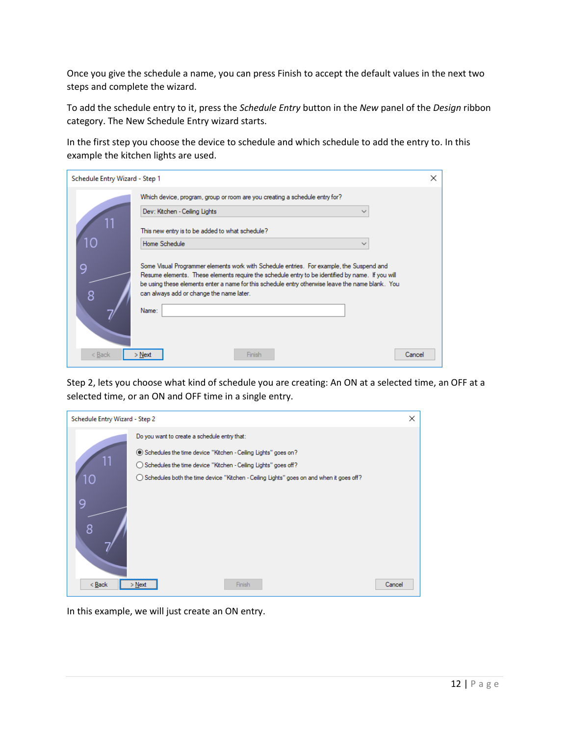Once you give the schedule a name, you can press Finish to accept the default values in the next two steps and complete the wizard.

To add the schedule entry to it, press the *Schedule Entry* button in the *New* panel of the *Design* ribbon category. The New Schedule Entry wizard starts.

In the first step you choose the device to schedule and which schedule to add the entry to. In this example the kitchen lights are used.

| Schedule Entry Wizard - Step 1<br>× |                                                                                                                                                                                                                                                                                                                                                       |  |  |
|-------------------------------------|-------------------------------------------------------------------------------------------------------------------------------------------------------------------------------------------------------------------------------------------------------------------------------------------------------------------------------------------------------|--|--|
|                                     | Which device, program, group or room are you creating a schedule entry for?                                                                                                                                                                                                                                                                           |  |  |
|                                     | Dev: Kitchen - Ceiling Lights<br>$\checkmark$                                                                                                                                                                                                                                                                                                         |  |  |
|                                     | This new entry is to be added to what schedule?                                                                                                                                                                                                                                                                                                       |  |  |
| ١C                                  | Home Schedule<br>$\checkmark$                                                                                                                                                                                                                                                                                                                         |  |  |
| 9<br>8                              | Some Visual Programmer elements work with Schedule entries. For example, the Suspend and<br>Resume elements. These elements require the schedule entry to be identified by name. If you will<br>be using these elements enter a name for this schedule entry otherwise leave the name blank. You<br>can always add or change the name later.<br>Name: |  |  |
| < Back                              | Finish<br>Cancel<br>Next                                                                                                                                                                                                                                                                                                                              |  |  |

Step 2, lets you choose what kind of schedule you are creating: An ON at a selected time, an OFF at a selected time, or an ON and OFF time in a single entry.

|              | ×<br>Schedule Entry Wizard - Step 2                                                                                                                                                                                                                                                       |  |  |  |
|--------------|-------------------------------------------------------------------------------------------------------------------------------------------------------------------------------------------------------------------------------------------------------------------------------------------|--|--|--|
| ١C<br>g<br>8 | Do you want to create a schedule entry that:<br>◉ Schedules the time device "Kitchen - Ceiling Lights" goes on?<br>◯ Schedules the time device "Kitchen - Ceiling Lights" goes off?<br>$\bigcirc$ Schedules both the time device "Kitchen - Ceiling Lights" goes on and when it goes off? |  |  |  |
| < Back       | Finish<br>Cancel<br>$>$ Next                                                                                                                                                                                                                                                              |  |  |  |

In this example, we will just create an ON entry.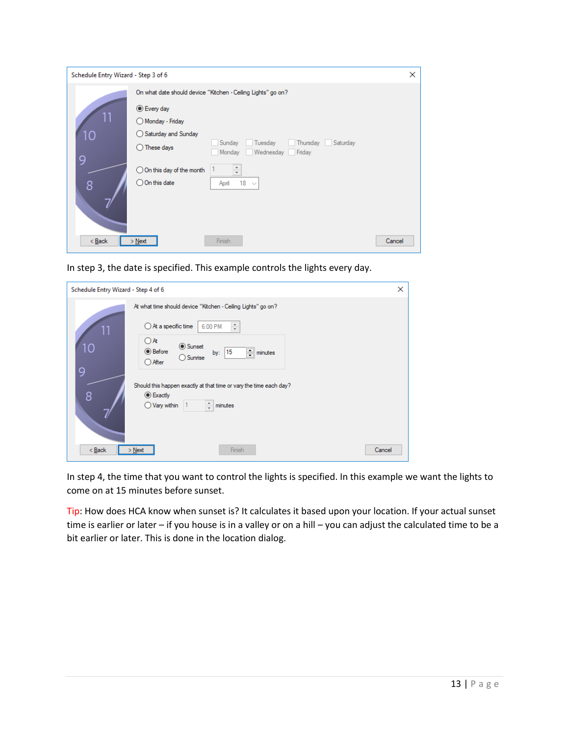| Schedule Entry Wizard - Step 3 of 6 |                                                                                                             | ×      |
|-------------------------------------|-------------------------------------------------------------------------------------------------------------|--------|
|                                     | On what date should device "Kitchen - Ceiling Lights" go on?                                                |        |
| 10                                  | ◉ Every day<br>Monday - Friday<br>$\bigcirc$ Saturday and Sunday                                            |        |
| 9                                   | Thursday   Saturday<br>Sunday<br>Tuesday<br>m.<br>$\bigcirc$ These days<br>Wednesday Friday<br>Monday       |        |
| 8                                   | $\frac{1}{\tau}$<br>$\bigcirc$ On this day of the month<br>$\bigcirc$ On this date<br>18<br>April<br>$\sim$ |        |
| $Back$                              | Finish<br>$>$ Next                                                                                          | Cancel |

In step 3, the date is specified. This example controls the lights every day.

| ×<br>Schedule Entry Wizard - Step 4 of 6                                                                                                                                                                                                                            |  |  |  |
|---------------------------------------------------------------------------------------------------------------------------------------------------------------------------------------------------------------------------------------------------------------------|--|--|--|
| At what time should device "Kitchen - Ceiling Lights" go on?<br>$\bigcirc$ At a specific time<br>÷<br>6:00 PM<br>$\bigcirc$ At<br><b>◎</b> Sunset<br>1 <sup>C</sup><br><b>◎</b> Before<br>$\equiv$ minutes<br>by: 15<br>$\bigcirc$ Sunrise<br>$\bigcirc$ After<br>9 |  |  |  |
| Should this happen exactly at that time or vary the time each day?<br>8<br>◉ Exactly<br>÷<br>$\bigcirc$ Vary within<br>minutes                                                                                                                                      |  |  |  |
| < Back<br>Cancel<br>Finish<br>$>$ Next                                                                                                                                                                                                                              |  |  |  |

In step 4, the time that you want to control the lights is specified. In this example we want the lights to come on at 15 minutes before sunset.

Tip: How does HCA know when sunset is? It calculates it based upon your location. If your actual sunset time is earlier or later – if you house is in a valley or on a hill – you can adjust the calculated time to be a bit earlier or later. This is done in the location dialog.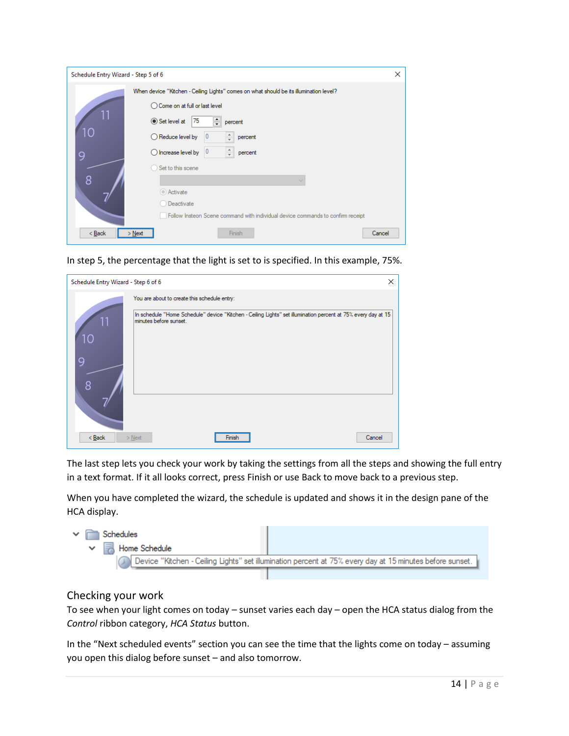| Schedule Entry Wizard - Step 5 of 6 |                                                                                        | X |
|-------------------------------------|----------------------------------------------------------------------------------------|---|
|                                     | When device "Kitchen - Ceiling Lights" comes on what should be its illumination level? |   |
|                                     | ◯ Come on at full or last level                                                        |   |
|                                     | 츾<br>75<br>$\odot$ Set level at<br>percent                                             |   |
| 10                                  | ÷<br>$\bigcirc$ Reduce level by<br>0<br>percent                                        |   |
| 9                                   | $\frac{1}{\tau}$<br>0<br>$\bigcirc$ Increase level by<br>percent                       |   |
|                                     | Set to this scene                                                                      |   |
| 8                                   |                                                                                        |   |
|                                     | Activate                                                                               |   |
|                                     | Deactivate                                                                             |   |
|                                     | Follow Insteon Scene command with individual device commands to confirm receipt        |   |
| < Back                              | Finish<br>Cancel<br>$>$ Next                                                           |   |

In step 5, the percentage that the light is set to is specified. In this example, 75%.

|                    | Schedule Entry Wizard - Step 6 of 6<br>×                                                                                                |  |  |  |
|--------------------|-----------------------------------------------------------------------------------------------------------------------------------------|--|--|--|
|                    | You are about to create this schedule entry:                                                                                            |  |  |  |
| 11<br>1C<br>g<br>8 | In schedule "Home Schedule" device "Kitchen - Ceiling Lights" set illumination percent at 75% every day at 15<br>minutes before sunset. |  |  |  |
| $Back$             | Cancel<br>$>$ Next<br>Finish                                                                                                            |  |  |  |

The last step lets you check your work by taking the settings from all the steps and showing the full entry in a text format. If it all looks correct, press Finish or use Back to move back to a previous step.

When you have completed the wizard, the schedule is updated and shows it in the design pane of the HCA display.

| $\vee$ $\Box$ Schedules |  |                             |                                                                                                          |  |
|-------------------------|--|-----------------------------|----------------------------------------------------------------------------------------------------------|--|
|                         |  | $\vee$ $\Box$ Home Schedule |                                                                                                          |  |
|                         |  |                             | Device "Kitchen - Ceiling Lights" set illumination percent at 75% every day at 15 minutes before sunset. |  |
|                         |  |                             |                                                                                                          |  |

#### Checking your work

To see when your light comes on today – sunset varies each day – open the HCA status dialog from the *Control* ribbon category, *HCA Status* button.

In the "Next scheduled events" section you can see the time that the lights come on today – assuming you open this dialog before sunset – and also tomorrow.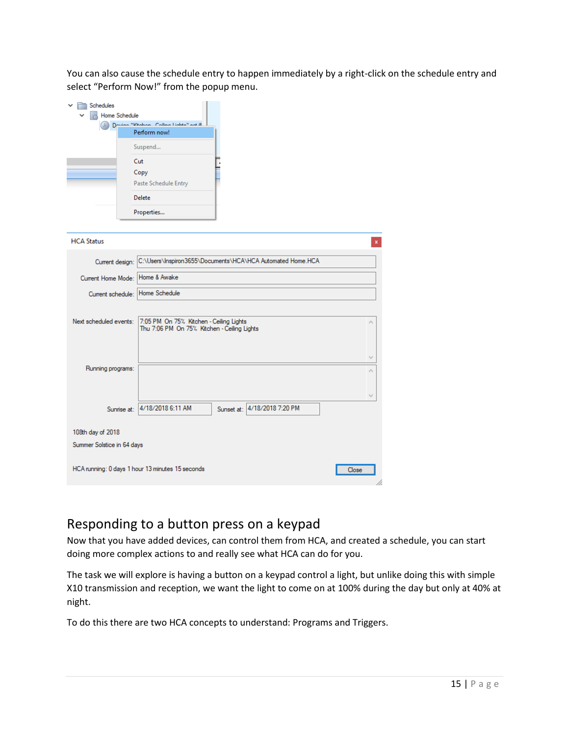You can also cause the schedule entry to happen immediately by a right-click on the schedule entry and select "Perform Now!" from the popup menu.

| Schedules<br>Home Schedule | Douinn "Kitchon, Coilinn Lights" act ill                                               |
|----------------------------|----------------------------------------------------------------------------------------|
|                            | Perform now!                                                                           |
|                            | Suspend                                                                                |
|                            | Cut                                                                                    |
|                            | Copy                                                                                   |
|                            | Paste Schedule Entry                                                                   |
|                            | <b>Delete</b>                                                                          |
|                            | Properties                                                                             |
|                            |                                                                                        |
| <b>HCA Status</b>          | $\mathbf{x}$                                                                           |
| Current design:            | C:\Users\Inspiron3655\Documents\HCA\HCA Automated Home.HCA                             |
| Current Home Mode:         | Home & Awake                                                                           |
| Current schedule:          | Home Schedule                                                                          |
|                            |                                                                                        |
| Next scheduled events:     | 7:05 PM On 75% Kitchen - Ceiling Lights<br>Thu 7:06 PM On 75% Kitchen - Ceiling Lights |
|                            |                                                                                        |
|                            |                                                                                        |
|                            |                                                                                        |
| Running programs:          |                                                                                        |
|                            |                                                                                        |
|                            |                                                                                        |
|                            | Sunset at: 4/18/2018 7:20 PM<br>Sunnise at: 4/18/2018 6:11 AM                          |
| 108th day of 2018          |                                                                                        |
| Summer Solstice in 64 days |                                                                                        |
|                            |                                                                                        |
|                            | HCA running: 0 days 1 hour 13 minutes 15 seconds<br>Close                              |

### Responding to a button press on a keypad

Now that you have added devices, can control them from HCA, and created a schedule, you can start doing more complex actions to and really see what HCA can do for you.

The task we will explore is having a button on a keypad control a light, but unlike doing this with simple X10 transmission and reception, we want the light to come on at 100% during the day but only at 40% at night.

To do this there are two HCA concepts to understand: Programs and Triggers.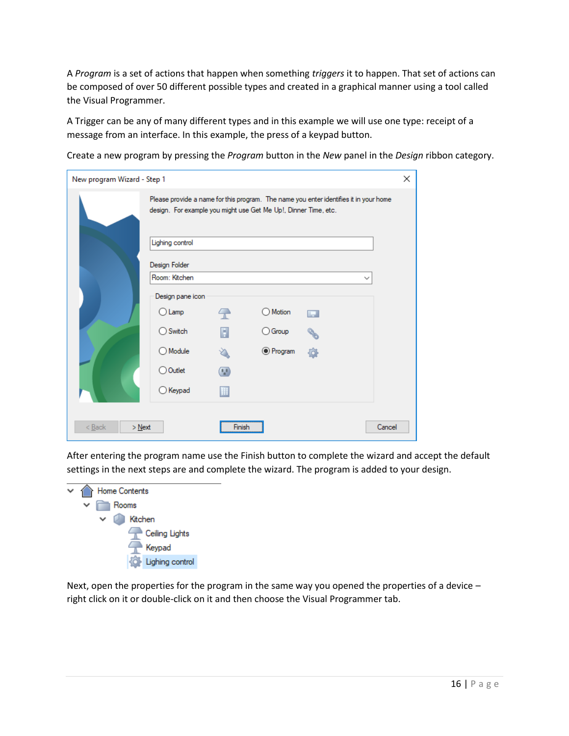A *Program* is a set of actions that happen when something *triggers* it to happen. That set of actions can be composed of over 50 different possible types and created in a graphical manner using a tool called the Visual Programmer.

A Trigger can be any of many different types and in this example we will use one type: receipt of a message from an interface. In this example, the press of a keypad button.

Create a new program by pressing the *Program* button in the *New* panel in the *Design* ribbon category.

| New program Wizard - Step 1 |                                                                 |                   |                  |                                                                                       | × |
|-----------------------------|-----------------------------------------------------------------|-------------------|------------------|---------------------------------------------------------------------------------------|---|
|                             | design. For example you might use Get Me Up!, Dinner Time, etc. |                   |                  | Please provide a name for this program. The name you enter identifies it in your home |   |
|                             | Lighing control                                                 |                   |                  |                                                                                       |   |
|                             | Design Folder                                                   |                   |                  |                                                                                       |   |
|                             | Room: Kitchen<br>Design pane icon                               |                   |                  | $\checkmark$                                                                          |   |
|                             | $\bigcirc$ Lamp                                                 | $\curvearrowleft$ | Motion           | H                                                                                     |   |
|                             | $\bigcirc$ Switch                                               | п                 | $\bigcirc$ Group |                                                                                       |   |
|                             | ◯ Module                                                        |                   | <b>●</b> Program |                                                                                       |   |
|                             | ◯ Outlet                                                        |                   |                  |                                                                                       |   |
|                             | $\bigcirc$ Keypad                                               |                   |                  |                                                                                       |   |
|                             |                                                                 |                   |                  |                                                                                       |   |
| $<$ Back<br>$>$ Next        |                                                                 | Finish            |                  | Cancel                                                                                |   |

After entering the program name use the Finish button to complete the wizard and accept the default settings in the next steps are and complete the wizard. The program is added to your design.



Next, open the properties for the program in the same way you opened the properties of a device – right click on it or double-click on it and then choose the Visual Programmer tab.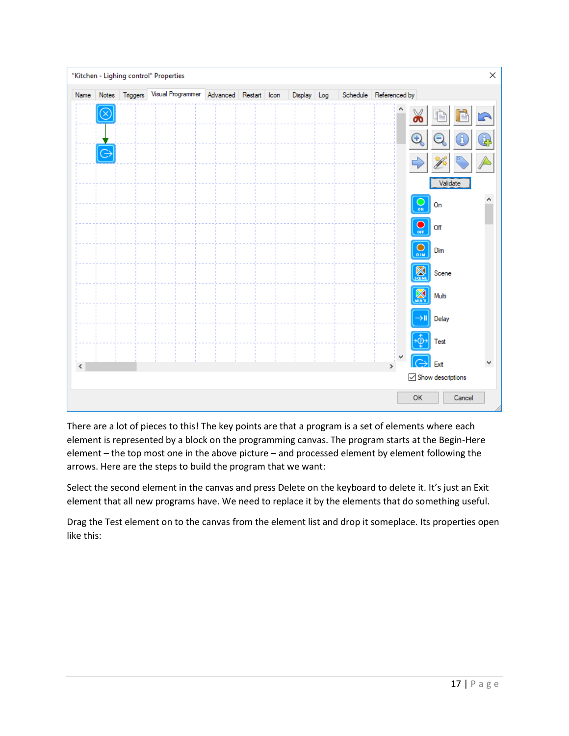

There are a lot of pieces to this! The key points are that a program is a set of elements where each element is represented by a block on the programming canvas. The program starts at the Begin-Here element – the top most one in the above picture – and processed element by element following the arrows. Here are the steps to build the program that we want:

Select the second element in the canvas and press Delete on the keyboard to delete it. It's just an Exit element that all new programs have. We need to replace it by the elements that do something useful.

Drag the Test element on to the canvas from the element list and drop it someplace. Its properties open like this: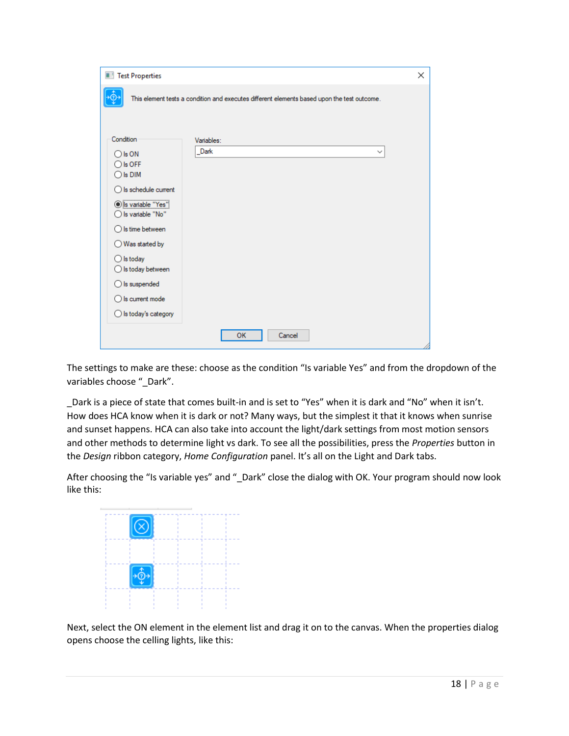| Test Properties                |                                                                                             | × |
|--------------------------------|---------------------------------------------------------------------------------------------|---|
|                                | This element tests a condition and executes different elements based upon the test outcome. |   |
|                                |                                                                                             |   |
|                                |                                                                                             |   |
| Condition                      | Variables:                                                                                  |   |
| $\bigcirc$ is ON               | Dark<br>$\checkmark$                                                                        |   |
| $\bigcirc$ is OFF              |                                                                                             |   |
| $\bigcirc$ is DIM              |                                                                                             |   |
| $\bigcirc$ is schedule current |                                                                                             |   |
| S variable "Yes"               |                                                                                             |   |
| ◯ Is variable "No"             |                                                                                             |   |
| $\bigcirc$ Is time between     |                                                                                             |   |
| Was started by<br>Ω            |                                                                                             |   |
| $\bigcirc$ is today            |                                                                                             |   |
| $\bigcirc$ is today between    |                                                                                             |   |
| $\bigcirc$ is suspended        |                                                                                             |   |
| $\bigcirc$ Is current mode     |                                                                                             |   |
| $\bigcirc$ is today's category |                                                                                             |   |
|                                | OK<br>Cancel                                                                                |   |
|                                |                                                                                             |   |

The settings to make are these: choose as the condition "Is variable Yes" and from the dropdown of the variables choose "\_Dark".

\_Dark is a piece of state that comes built-in and is set to "Yes" when it is dark and "No" when it isn't. How does HCA know when it is dark or not? Many ways, but the simplest it that it knows when sunrise and sunset happens. HCA can also take into account the light/dark settings from most motion sensors and other methods to determine light vs dark. To see all the possibilities, press the *Properties* button in the *Design* ribbon category, *Home Configuration* panel. It's all on the Light and Dark tabs.

After choosing the "Is variable yes" and " Dark" close the dialog with OK. Your program should now look like this:



Next, select the ON element in the element list and drag it on to the canvas. When the properties dialog opens choose the celling lights, like this: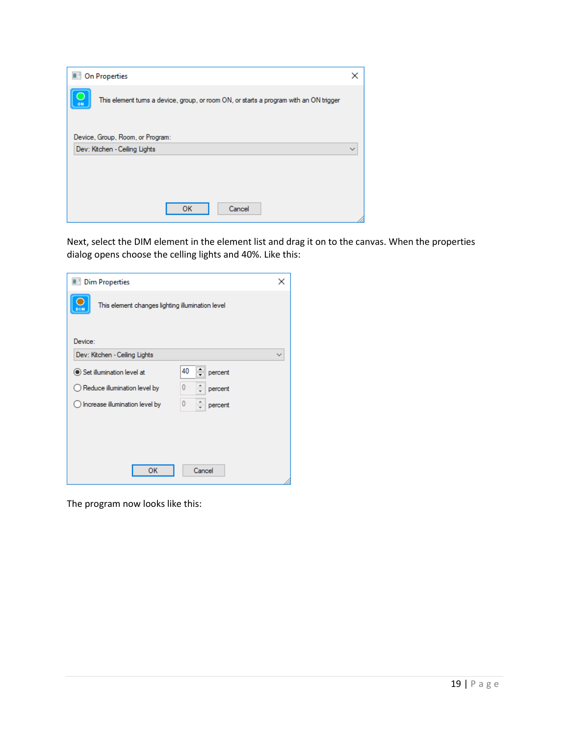|    | <b>Dell</b> On Properties                                                              |  |
|----|----------------------------------------------------------------------------------------|--|
| ON | This element turns a device, group, or room ON, or starts a program with an ON trigger |  |
|    | Device, Group, Room, or Program:<br>Dev: Kitchen - Ceiling Lights                      |  |
|    |                                                                                        |  |
|    | Cancel<br>ок                                                                           |  |

Next, select the DIM element in the element list and drag it on to the canvas. When the properties dialog opens choose the celling lights and 40%. Like this:

| Dim Properties                                                   | x |
|------------------------------------------------------------------|---|
| п<br>This element changes lighting illumination level<br>DIM     |   |
| Device:                                                          |   |
| Dev: Kitchen - Ceiling Lights                                    |   |
| 40<br>Set illumination level at<br>percent                       |   |
| 0<br>$\bigcirc$ Reduce illumination level by<br>percent          |   |
| $\bf{0}$<br>$\bigcirc$ Increase illumination level by<br>percent |   |
|                                                                  |   |
|                                                                  |   |
|                                                                  |   |
| OK<br>Cancel                                                     |   |

The program now looks like this: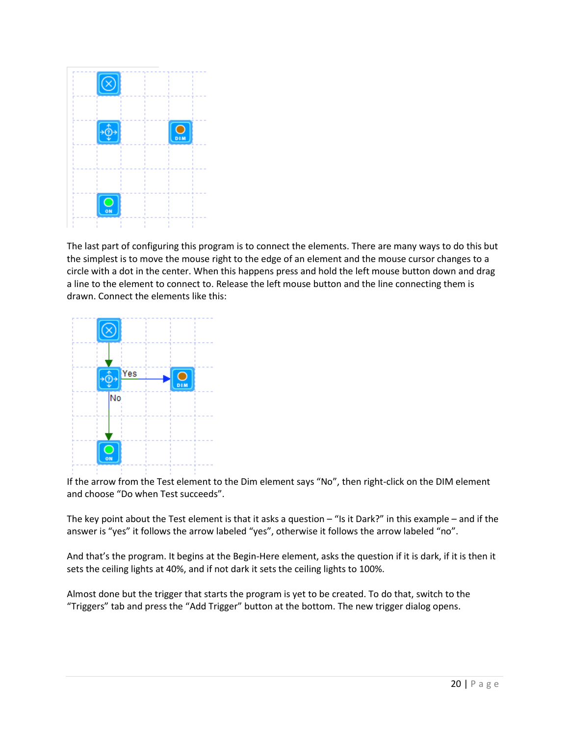

The last part of configuring this program is to connect the elements. There are many ways to do this but the simplest is to move the mouse right to the edge of an element and the mouse cursor changes to a circle with a dot in the center. When this happens press and hold the left mouse button down and drag a line to the element to connect to. Release the left mouse button and the line connecting them is drawn. Connect the elements like this:



If the arrow from the Test element to the Dim element says "No", then right-click on the DIM element and choose "Do when Test succeeds".

The key point about the Test element is that it asks a question  $-$  "Is it Dark?" in this example – and if the answer is "yes" it follows the arrow labeled "yes", otherwise it follows the arrow labeled "no".

And that's the program. It begins at the Begin-Here element, asks the question if it is dark, if it is then it sets the ceiling lights at 40%, and if not dark it sets the ceiling lights to 100%.

Almost done but the trigger that starts the program is yet to be created. To do that, switch to the "Triggers" tab and press the "Add Trigger" button at the bottom. The new trigger dialog opens.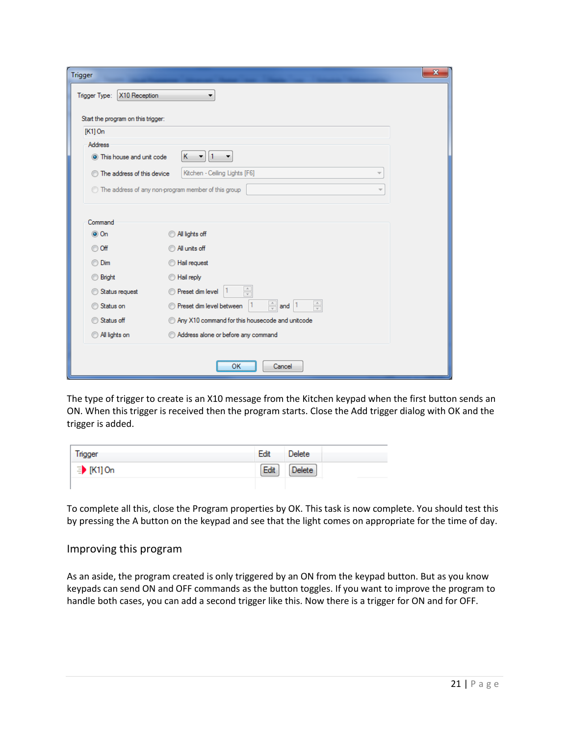| $\mathbf{x}$<br>Trigger           |                                                                                       |  |  |  |  |
|-----------------------------------|---------------------------------------------------------------------------------------|--|--|--|--|
| X10 Reception<br>Trigger Type:    |                                                                                       |  |  |  |  |
|                                   | Start the program on this trigger:                                                    |  |  |  |  |
| $[K1]$ On                         |                                                                                       |  |  |  |  |
| Address                           |                                                                                       |  |  |  |  |
| This house and unit code          | К<br>$\vert$ 1<br>$\blacktriangledown$<br>▼                                           |  |  |  |  |
| <b>The address of this device</b> | Kitchen - Ceiling Lights [F6]<br>$\overline{\phantom{a}}$                             |  |  |  |  |
|                                   | The address of any non-program member of this group<br>$\overline{\mathbf{v}}$        |  |  |  |  |
| Command<br>$\odot$ On<br>© Off    | All lights off<br>All units off                                                       |  |  |  |  |
| O Dim                             | Hail request                                                                          |  |  |  |  |
| <b>Bright</b>                     | Hail reply                                                                            |  |  |  |  |
| Status request                    | $\frac{\triangle}{\tau}$<br><b>Preset dim level</b>                                   |  |  |  |  |
| Status on<br>M                    | $\frac{\Delta}{\pi}$<br>$\frac{A}{\nu}$<br>Preset dim level between<br>11<br>and $ 1$ |  |  |  |  |
| Status off<br>∩                   | Any X10 command for this housecode and unitcode                                       |  |  |  |  |
| All lights on                     | Address alone or before any command                                                   |  |  |  |  |
|                                   |                                                                                       |  |  |  |  |
|                                   | OK<br>Cancel                                                                          |  |  |  |  |

The type of trigger to create is an X10 message from the Kitchen keypad when the first button sends an ON. When this trigger is received then the program starts. Close the Add trigger dialog with OK and the trigger is added.

| Trigger           | Edit | <b>Delete</b> |
|-------------------|------|---------------|
| <b>∃▶ [K1] On</b> | Edit | Delete        |
|                   |      |               |

To complete all this, close the Program properties by OK. This task is now complete. You should test this by pressing the A button on the keypad and see that the light comes on appropriate for the time of day.

#### Improving this program

As an aside, the program created is only triggered by an ON from the keypad button. But as you know keypads can send ON and OFF commands as the button toggles. If you want to improve the program to handle both cases, you can add a second trigger like this. Now there is a trigger for ON and for OFF.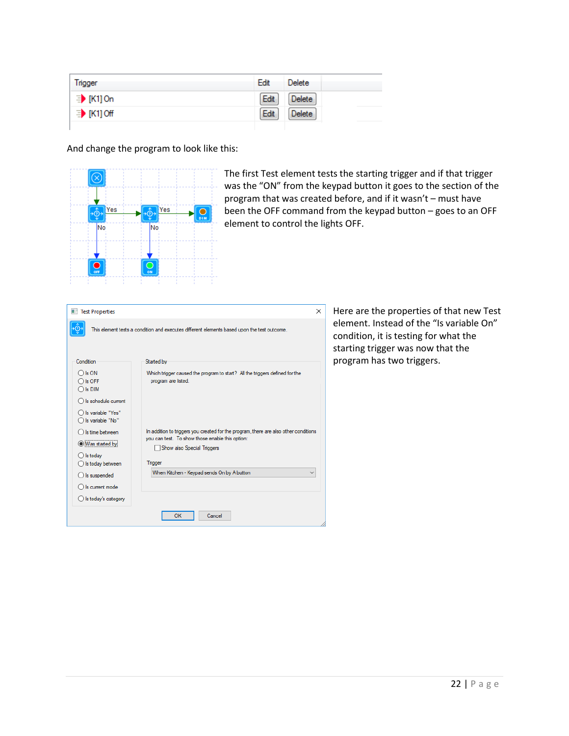| Trigger          | Edit<br><b>Delete</b> |
|------------------|-----------------------|
| <b>∃ [K1] On</b> | Edit<br>Delete        |
| ≡ [K1] Off       | Edit<br><b>Delete</b> |
|                  |                       |

And change the program to look like this:



The first Test element tests the starting trigger and if that trigger was the "ON" from the keypad button it goes to the section of the program that was created before, and if it wasn't – must have been the OFF command from the keypad button – goes to an OFF element to control the lights OFF.

| <b>Test Properties</b>                                            | ×                                                                                                                                                                                |
|-------------------------------------------------------------------|----------------------------------------------------------------------------------------------------------------------------------------------------------------------------------|
|                                                                   | This element tests a condition and executes different elements based upon the test outcome.                                                                                      |
| Condition                                                         | Started by                                                                                                                                                                       |
| Is ON<br>Is OFF<br>Is DIM                                         | Which trigger caused the program to start? All the triggers defined for the<br>program are listed.                                                                               |
| Is schedule current<br>Is variable "Yes"<br>Is variable "No"      |                                                                                                                                                                                  |
| Is time between<br>Was started by<br>Is today<br>Is today between | In addition to triggers you created for the program, there are also other conditions<br>you can test. To show those enable this option:<br>Show also Special Triggers<br>Trigger |
| Is suspended<br>Is current mode<br>Is today's category            | When Kitchen - Keypad sends On by A button                                                                                                                                       |
|                                                                   | Cancel<br>OK                                                                                                                                                                     |

Here are the properties of that new Test element. Instead of the "Is variable On" condition, it is testing for what the starting trigger was now that the program has two triggers.